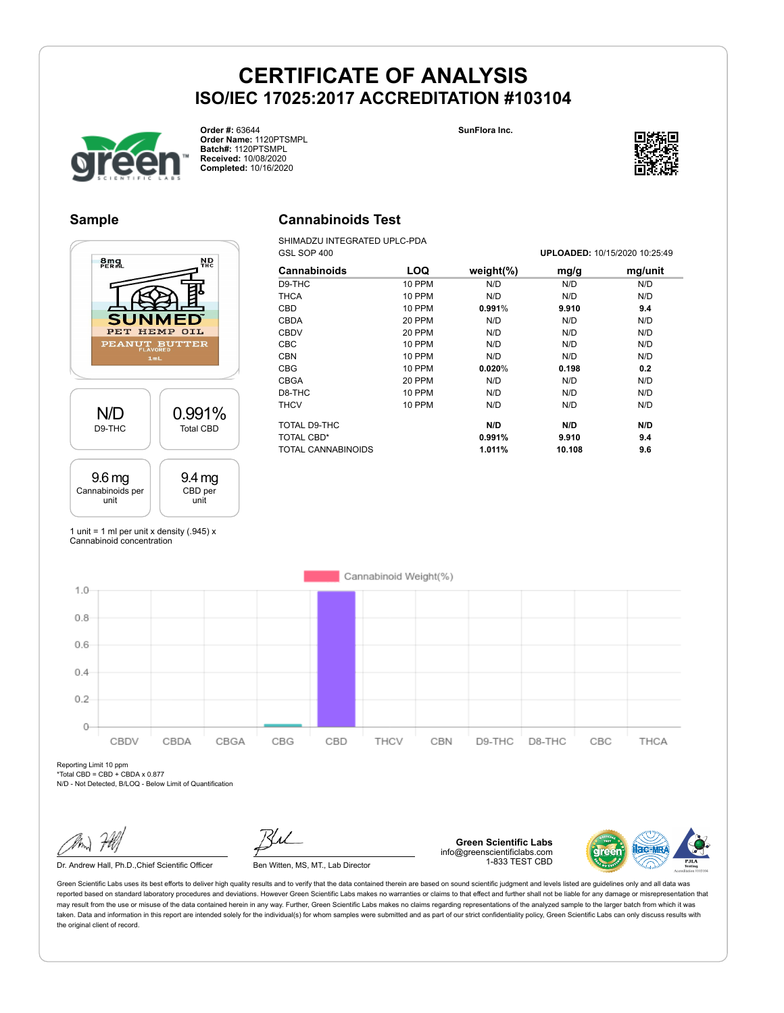



**Order #:** 63644 **Order Name:** 1120PTSMPL **Batch#:** 1120PTSMPL **Received:** 10/08/2020 **Completed:** 10/16/2020



#### **Sample**

## **amg ND** S PET HEMP OIL PEANUT BUTTER N/D 0.991% D9-THC Total CBD 9.4 mg 9.6 mg Cannabinoids per CBD per unit unit

### **Cannabinoids Test**

SHIMADZU INTEGRATED UPLC-PDA GSL SOP 400 **UPLOADED:** 10/15/2020 10:25:49

|               |               |        | 01 LUADLD. 107 107 LUZU 10. LU. TU |
|---------------|---------------|--------|------------------------------------|
| LOQ           | weight $(\%)$ | mg/g   | mg/unit                            |
| <b>10 PPM</b> | N/D           | N/D    | N/D                                |
| 10 PPM        | N/D           | N/D    | N/D                                |
| <b>10 PPM</b> | 0.991%        | 9.910  | 9.4                                |
| 20 PPM        | N/D           | N/D    | N/D                                |
| 20 PPM        | N/D           | N/D    | N/D                                |
| 10 PPM        | N/D           | N/D    | N/D                                |
| <b>10 PPM</b> | N/D           | N/D    | N/D                                |
| <b>10 PPM</b> | 0.020%        | 0.198  | 0.2                                |
| 20 PPM        | N/D           | N/D    | N/D                                |
| <b>10 PPM</b> | N/D           | N/D    | N/D                                |
| <b>10 PPM</b> | N/D           | N/D    | N/D                                |
|               | N/D           | N/D    | N/D                                |
|               | 0.991%        | 9.910  | 9.4                                |
|               | 1.011%        | 10.108 | 9.6                                |
|               |               |        |                                    |

1 unit = 1 ml per unit x density  $(.945)$  x Cannabinoid concentration



Reporting Limit 10 ppm \*Total CBD = CBD + CBDA x 0.877

N/D - Not Detected, B/LOQ - Below Limit of Quantification

Dr. Andrew Hall, Ph.D., Chief Scientific Officer Ben Witten, MS, MT., Lab Director

**Green Scientific Labs** info@greenscientificlabs.com 1-833 TEST CBD

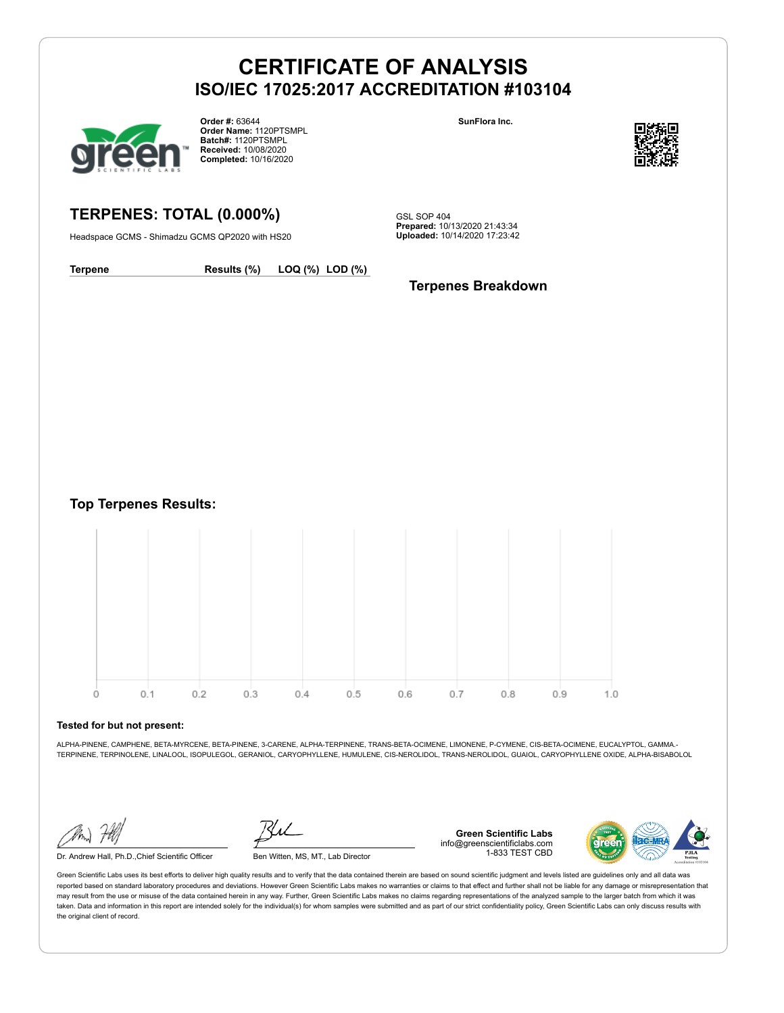

**Order #:** 63644 **Order Name:** 1120PTSMPL **Batch#:** 1120PTSMPL **Received:** 10/08/2020 **Completed:** 10/16/2020

**SunFlora Inc.**



**TERPENES: TOTAL (0.000%)**

Headspace GCMS - Shimadzu GCMS QP2020 with HS20

GSL SOP 404 **Prepared:** 10/13/2020 21:43:34 **Uploaded:** 10/14/2020 17:23:42

**Terpene Results (%) LOQ (%) LOD (%)**

**Terpenes Breakdown**

**Top Terpenes Results:**



#### **Tested for but not present:**

ALPHA-PINENE, CAMPHENE, BETA-MYRCENE, BETA-PINENE, 3-CARENE, ALPHA-TERPINENE, TRANS-BETA-OCIMENE, LIMONENE, P-CYMENE, CIS-BETA-OCIMENE, EUCALYPTOL, GAMMA.- TERPINENE, TERPINOLENE, LINALOOL, ISOPULEGOL, GERANIOL, CARYOPHYLLENE, HUMULENE, CIS-NEROLIDOL, TRANS-NEROLIDOL, GUAIOL, CARYOPHYLLENE OXIDE, ALPHA-BISABOLOL

Dr. Andrew Hall, Ph.D.,Chief Scientific Officer Ben Witten, MS, MT., Lab Director

**Green Scientific Labs** info@greenscientificlabs.com 1-833 TEST CBD

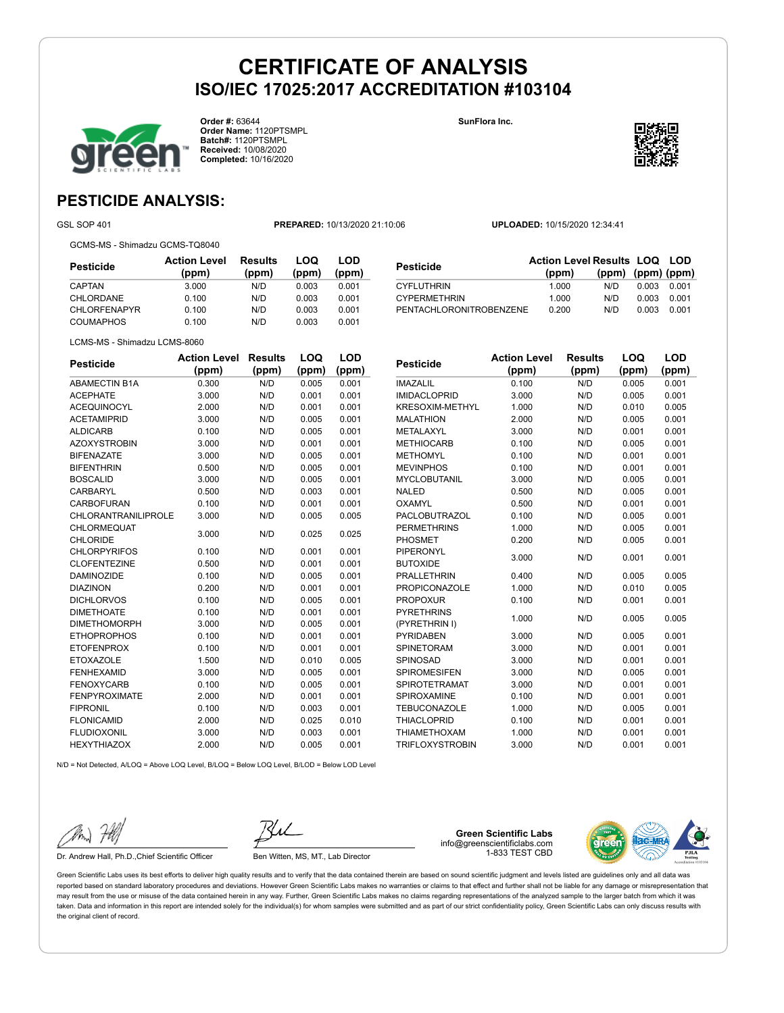**Order #:** 63644 **Order Name:** 1120PTSMPL **Batch#:** 1120PTSMPL **Received:** 10/08/2020 **Completed:** 10/16/2020

**LOQ**

**LOD**

**SunFlora Inc.**

**Pesticide Action Level**



## **PESTICIDE ANALYSIS:**

GSL SOP 401 **PREPARED:** 10/13/2020 21:10:06 **UPLOADED:** 10/15/2020 12:34:41

GCMS-MS - Shimadzu GCMS-TQ8040

| Pesticide           | <b>Action Level</b><br>(ppm) | Results<br>(ppm) | LOQ<br>(ppm) | LOD<br>(ppm) |
|---------------------|------------------------------|------------------|--------------|--------------|
| CAPTAN              | 3.000                        | N/D              | 0.003        | 0.001        |
| CHLORDANE           | 0.100                        | N/D              | 0.003        | 0.001        |
| <b>CHLORFENAPYR</b> | 0.100                        | N/D              | 0.003        | 0.001        |
| <b>COUMAPHOS</b>    | 0.100                        | N/D              | 0.003        | 0.001        |

| Pesticide               | <b>Action Level Results LOQ LOD</b> |                   |       |       |
|-------------------------|-------------------------------------|-------------------|-------|-------|
|                         | (ppm)                               | (ppm) (ppm) (ppm) |       |       |
| <b>CYFLUTHRIN</b>       | 1.000                               | N/D               | 0.003 | 0.001 |
| <b>CYPERMETHRIN</b>     | 1.000                               | N/D               | 0.003 | 0.001 |
| PENTACHLORONITROBENZENE | 0.200                               | N/D               | 0.003 | 0.001 |

**Results (ppm)**

**LOQ**

**LOD**

**(ppm)**

| Pesticide | <b>Action Level Results</b> |       |  |
|-----------|-----------------------------|-------|--|
|           | (ppm)                       | (ppm) |  |

LCMS-MS - Shimadzu LCMS-8060

| ๛๛๛๛                 | (ppm) | (ppm) | (ppm) | (ppm) |
|----------------------|-------|-------|-------|-------|
| <b>ABAMECTIN B1A</b> | 0.300 | N/D   | 0.005 | 0.001 |
| <b>ACEPHATE</b>      | 3.000 | N/D   | 0.001 | 0.001 |
| <b>ACEQUINOCYL</b>   | 2.000 | N/D   | 0.001 | 0.001 |
| <b>ACETAMIPRID</b>   | 3.000 | N/D   | 0.005 | 0.001 |
| <b>ALDICARB</b>      | 0.100 | N/D   | 0.005 | 0.001 |
| <b>AZOXYSTROBIN</b>  | 3.000 | N/D   | 0.001 | 0.001 |
| <b>BIFENAZATE</b>    | 3.000 | N/D   | 0.005 | 0.001 |
| <b>BIFENTHRIN</b>    | 0.500 | N/D   | 0.005 | 0.001 |
| <b>BOSCALID</b>      | 3.000 | N/D   | 0.005 | 0.001 |
| <b>CARBARYL</b>      | 0.500 | N/D   | 0.003 | 0.001 |
| CARBOFURAN           | 0.100 | N/D   | 0.001 | 0.001 |
| CHLORANTRANILIPROLE  | 3.000 | N/D   | 0.005 | 0.005 |
| CHLORMEQUAT          | 3.000 | N/D   | 0.025 | 0.025 |
| <b>CHLORIDE</b>      |       |       |       |       |
| <b>CHLORPYRIFOS</b>  | 0.100 | N/D   | 0.001 | 0.001 |
| <b>CLOFENTEZINE</b>  | 0.500 | N/D   | 0.001 | 0.001 |
| <b>DAMINOZIDE</b>    | 0.100 | N/D   | 0.005 | 0.001 |
| <b>DIAZINON</b>      | 0.200 | N/D   | 0.001 | 0.001 |
| <b>DICHLORVOS</b>    | 0.100 | N/D   | 0.005 | 0.001 |
| <b>DIMETHOATE</b>    | 0.100 | N/D   | 0.001 | 0.001 |
| <b>DIMETHOMORPH</b>  | 3.000 | N/D   | 0.005 | 0.001 |
| <b>ETHOPROPHOS</b>   | 0.100 | N/D   | 0.001 | 0.001 |
| <b>ETOFENPROX</b>    | 0.100 | N/D   | 0.001 | 0.001 |
| <b>ETOXAZOLE</b>     | 1.500 | N/D   | 0.010 | 0.005 |
| <b>FENHEXAMID</b>    | 3.000 | N/D   | 0.005 | 0.001 |
| <b>FENOXYCARB</b>    | 0.100 | N/D   | 0.005 | 0.001 |
| <b>FENPYROXIMATE</b> | 2.000 | N/D   | 0.001 | 0.001 |
| <b>FIPRONIL</b>      | 0.100 | N/D   | 0.003 | 0.001 |
| <b>FLONICAMID</b>    | 2.000 | N/D   | 0.025 | 0.010 |
| <b>FLUDIOXONIL</b>   | 3.000 | N/D   | 0.003 | 0.001 |
| <b>HEXYTHIAZOX</b>   | 2.000 | N/D   | 0.005 | 0.001 |

| ı vəuviuv              | (ppm) | (ppm) | (ppm) | (ppm) |
|------------------------|-------|-------|-------|-------|
| <b>IMAZALIL</b>        | 0.100 | N/D   | 0.005 | 0.001 |
| <b>IMIDACLOPRID</b>    | 3.000 | N/D   | 0.005 | 0.001 |
| <b>KRESOXIM-METHYL</b> | 1.000 | N/D   | 0.010 | 0.005 |
| <b>MALATHION</b>       | 2.000 | N/D   | 0.005 | 0.001 |
| METALAXYL              | 3.000 | N/D   | 0.001 | 0.001 |
| <b>METHIOCARB</b>      | 0.100 | N/D   | 0.005 | 0.001 |
| <b>METHOMYL</b>        | 0.100 | N/D   | 0.001 | 0.001 |
| <b>MEVINPHOS</b>       | 0.100 | N/D   | 0.001 | 0.001 |
| <b>MYCLOBUTANIL</b>    | 3.000 | N/D   | 0.005 | 0.001 |
| <b>NALED</b>           | 0.500 | N/D   | 0.005 | 0.001 |
| OXAMYL                 | 0.500 | N/D   | 0.001 | 0.001 |
| <b>PACLOBUTRAZOL</b>   | 0.100 | N/D   | 0.005 | 0.001 |
| <b>PERMETHRINS</b>     | 1.000 | N/D   | 0.005 | 0.001 |
| <b>PHOSMET</b>         | 0.200 | N/D   | 0.005 | 0.001 |
| PIPERONYL              |       |       |       |       |
| <b>BUTOXIDE</b>        | 3.000 | N/D   | 0.001 | 0.001 |
| <b>PRALLETHRIN</b>     | 0.400 | N/D   | 0.005 | 0.005 |
| <b>PROPICONAZOLE</b>   | 1.000 | N/D   | 0.010 | 0.005 |
| <b>PROPOXUR</b>        | 0.100 | N/D   | 0.001 | 0.001 |
| <b>PYRETHRINS</b>      |       |       |       |       |
| (PYRETHRIN I)          | 1.000 | N/D   | 0.005 | 0.005 |
| <b>PYRIDABEN</b>       | 3.000 | N/D   | 0.005 | 0.001 |
| <b>SPINETORAM</b>      | 3.000 | N/D   | 0.001 | 0.001 |
| SPINOSAD               | 3.000 | N/D   | 0.001 | 0.001 |
| <b>SPIROMESIFEN</b>    | 3.000 | N/D   | 0.005 | 0.001 |
| <b>SPIROTETRAMAT</b>   | 3.000 | N/D   | 0.001 | 0.001 |
| SPIROXAMINE            | 0.100 | N/D   | 0.001 | 0.001 |
| <b>TEBUCONAZOLE</b>    | 1.000 | N/D   | 0.005 | 0.001 |
| <b>THIACLOPRID</b>     | 0.100 | N/D   | 0.001 | 0.001 |
| <b>THIAMETHOXAM</b>    | 1.000 | N/D   | 0.001 | 0.001 |

TRIFLOXYSTROBIN 3.000 N/D 0.001 0.001

N/D = Not Detected, A/LOQ = Above LOQ Level, B/LOQ = Below LOQ Level, B/LOD = Below LOD Level

Dr. Andrew Hall, Ph.D., Chief Scientific Officer Ben Witten, MS, MT., Lab Director

**Green Scientific Labs** info@greenscientificlabs.com 1-833 TEST CBD

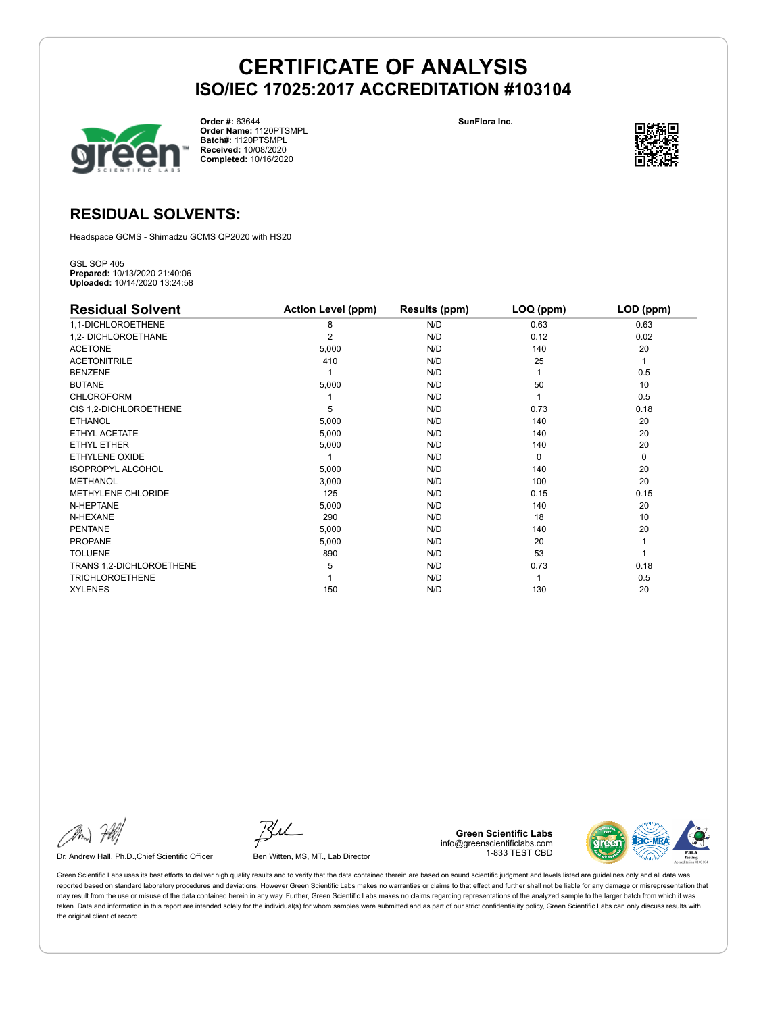

**Order #:** 63644 **Order Name:** 1120PTSMPL **Batch#:** 1120PTSMPL **Received:** 10/08/2020 **Completed:** 10/16/2020

**SunFlora Inc.**



## **RESIDUAL SOLVENTS:**

Headspace GCMS - Shimadzu GCMS QP2020 with HS20

GSL SOP 405 **Prepared:** 10/13/2020 21:40:06 **Uploaded:** 10/14/2020 13:24:58

| <b>Residual Solvent</b>  | <b>Action Level (ppm)</b> | Results (ppm) | LOQ (ppm) | LOD (ppm) |
|--------------------------|---------------------------|---------------|-----------|-----------|
| 1,1-DICHLOROETHENE       | 8                         | N/D           | 0.63      | 0.63      |
| 1,2- DICHLOROETHANE      | 2                         | N/D           | 0.12      | 0.02      |
| <b>ACETONE</b>           | 5,000                     | N/D           | 140       | 20        |
| <b>ACETONITRILE</b>      | 410                       | N/D           | 25        | 1         |
| <b>BENZENE</b>           |                           | N/D           |           | 0.5       |
| <b>BUTANE</b>            | 5,000                     | N/D           | 50        | 10        |
| <b>CHLOROFORM</b>        |                           | N/D           |           | 0.5       |
| CIS 1,2-DICHLOROETHENE   | 5                         | N/D           | 0.73      | 0.18      |
| <b>ETHANOL</b>           | 5,000                     | N/D           | 140       | 20        |
| ETHYL ACETATE            | 5,000                     | N/D           | 140       | 20        |
| <b>ETHYL ETHER</b>       | 5,000                     | N/D           | 140       | 20        |
| ETHYLENE OXIDE           |                           | N/D           | $\Omega$  | 0         |
| <b>ISOPROPYL ALCOHOL</b> | 5,000                     | N/D           | 140       | 20        |
| <b>METHANOL</b>          | 3,000                     | N/D           | 100       | 20        |
| METHYLENE CHLORIDE       | 125                       | N/D           | 0.15      | 0.15      |
| N-HEPTANE                | 5,000                     | N/D           | 140       | 20        |
| N-HEXANE                 | 290                       | N/D           | 18        | 10        |
| <b>PENTANE</b>           | 5,000                     | N/D           | 140       | 20        |
| <b>PROPANE</b>           | 5,000                     | N/D           | 20        |           |
| <b>TOLUENE</b>           | 890                       | N/D           | 53        |           |
| TRANS 1,2-DICHLOROETHENE | 5                         | N/D           | 0.73      | 0.18      |
| <b>TRICHLOROETHENE</b>   |                           | N/D           |           | 0.5       |
| <b>XYLENES</b>           | 150                       | N/D           | 130       | 20        |

Dr. Andrew Hall, Ph.D., Chief Scientific Officer Ben Witten, MS, MT., Lab Director

**Green Scientific Labs** info@greenscientificlabs.com 1-833 TEST CBD

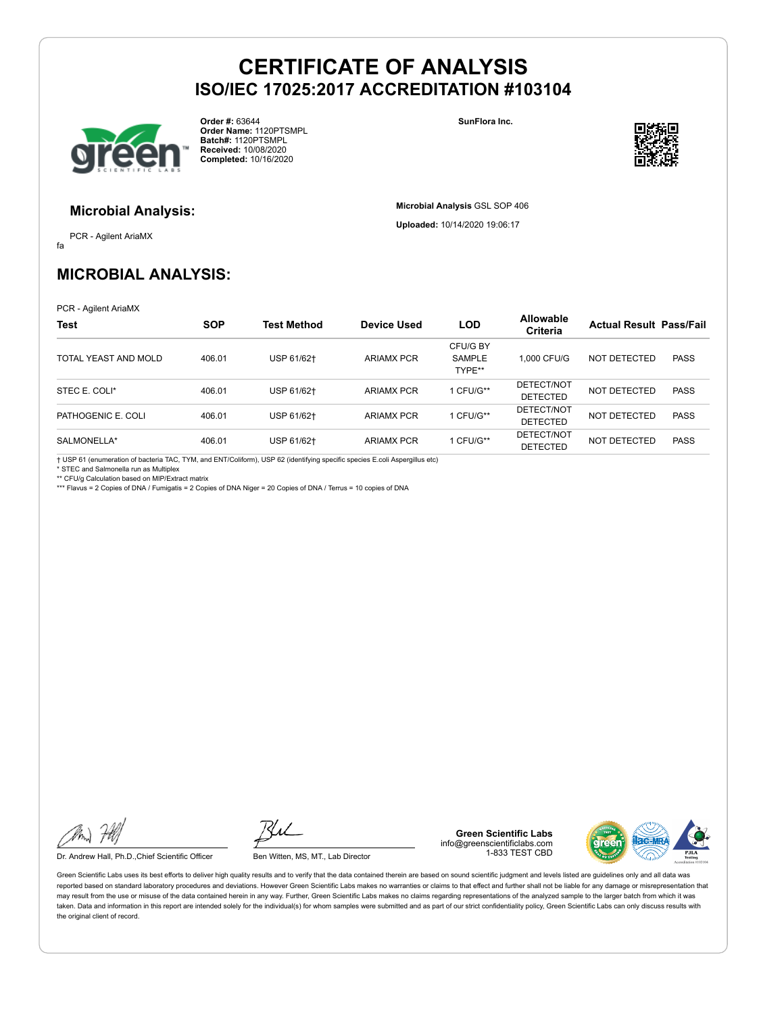

**Order #:** 63644 **Order Name:** 1120PTSMPL **Batch#:** 1120PTSMPL **Received:** 10/08/2020 **Completed:** 10/16/2020

**SunFlora Inc.**

**Microbial Analysis** GSL SOP 406 **Uploaded:** 10/14/2020 19:06:17



#### **Microbial Analysis:**

fa PCR - Agilent AriaMX

**MICROBIAL ANALYSIS:**

PCR - Agilent AriaMX

| <b>Test</b>          | <b>SOP</b> | <b>Test Method</b> | <b>Device Used</b> | <b>LOD</b>                          | <b>Allowable</b><br><b>Criteria</b> | <b>Actual Result Pass/Fail</b> |             |
|----------------------|------------|--------------------|--------------------|-------------------------------------|-------------------------------------|--------------------------------|-------------|
| TOTAL YEAST AND MOLD | 406.01     | USP 61/62+         | <b>ARIAMX PCR</b>  | CFU/G BY<br><b>SAMPLE</b><br>TYPE** | 1.000 CFU/G                         | NOT DETECTED                   | <b>PASS</b> |
| STEC E. COLI*        | 406.01     | USP 61/62+         | <b>ARIAMX PCR</b>  | 1 CFU/G**                           | DETECT/NOT<br>DETECTED              | NOT DETECTED                   | <b>PASS</b> |
| PATHOGENIC E. COLI   | 406.01     | USP 61/62+         | <b>ARIAMX PCR</b>  | 1 CFU/G**                           | DETECT/NOT<br><b>DETECTED</b>       | NOT DETECTED                   | <b>PASS</b> |
| SALMONELLA*          | 406.01     | USP 61/62+         | <b>ARIAMX PCR</b>  | 1 CFU/G**                           | DETECT/NOT<br><b>DETECTED</b>       | NOT DETECTED                   | <b>PASS</b> |

† USP 61 (enumeration of bacteria TAC, TYM, and ENT/Coliform), USP 62 (identifying specific species E.coli Aspergillus etc)

\* STEC and Salmonella run as Multiplex

\*\* CFU/g Calculation based on MIP/Extract matrix \*\*\* Flavus = 2 Copies of DNA / Fumigatis = 2 Copies of DNA Niger = 20 Copies of DNA / Terrus = 10 copies of DNA

Dr. Andrew Hall, Ph.D., Chief Scientific Officer Ben Witten, MS, MT., Lab Director

**Green Scientific Labs** info@greenscientificlabs.com 1-833 TEST CBD